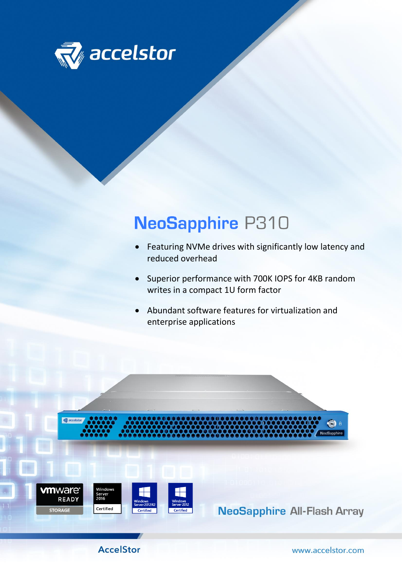

## **NeoSapphire P310**

- Featuring NVMe drives with significantly low latency and reduced overhead
- Superior performance with 700K IOPS for 4KB random writes in a compact 1U form factor
- Abundant software features for virtualization and enterprise applications